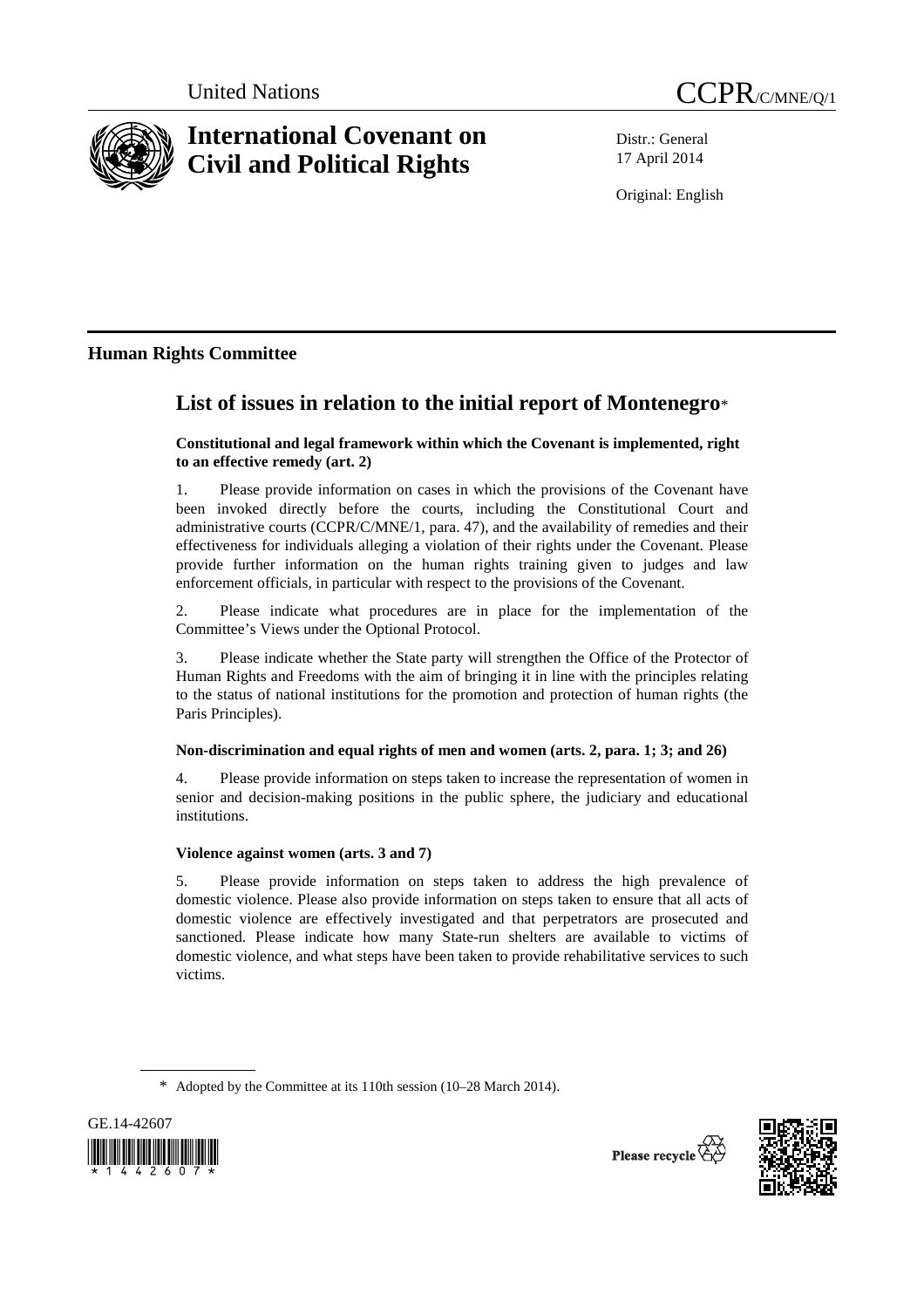



# **International Covenant on Civil and Political Rights**

Distr.: General 17 April 2014

Original: English

## **Human Rights Committee**

## **List of issues in relation to the initial report of Montenegro**\*

## **Constitutional and legal framework within which the Covenant is implemented, right to an effective remedy (art. 2)**

1. Please provide information on cases in which the provisions of the Covenant have been invoked directly before the courts, including the Constitutional Court and administrative courts (CCPR/C/MNE/1, para. 47), and the availability of remedies and their effectiveness for individuals alleging a violation of their rights under the Covenant. Please provide further information on the human rights training given to judges and law enforcement officials, in particular with respect to the provisions of the Covenant.

2. Please indicate what procedures are in place for the implementation of the Committee's Views under the Optional Protocol.

3. Please indicate whether the State party will strengthen the Office of the Protector of Human Rights and Freedoms with the aim of bringing it in line with the principles relating to the status of national institutions for the promotion and protection of human rights (the Paris Principles).

## **Non-discrimination and equal rights of men and women (arts. 2, para. 1; 3; and 26)**

4. Please provide information on steps taken to increase the representation of women in senior and decision-making positions in the public sphere, the judiciary and educational institutions.

## **Violence against women (arts. 3 and 7)**

5. Please provide information on steps taken to address the high prevalence of domestic violence. Please also provide information on steps taken to ensure that all acts of domestic violence are effectively investigated and that perpetrators are prosecuted and sanctioned. Please indicate how many State-run shelters are available to victims of domestic violence, and what steps have been taken to provide rehabilitative services to such victims.

<sup>\*</sup> Adopted by the Committee at its 110th session (10–28 March 2014).





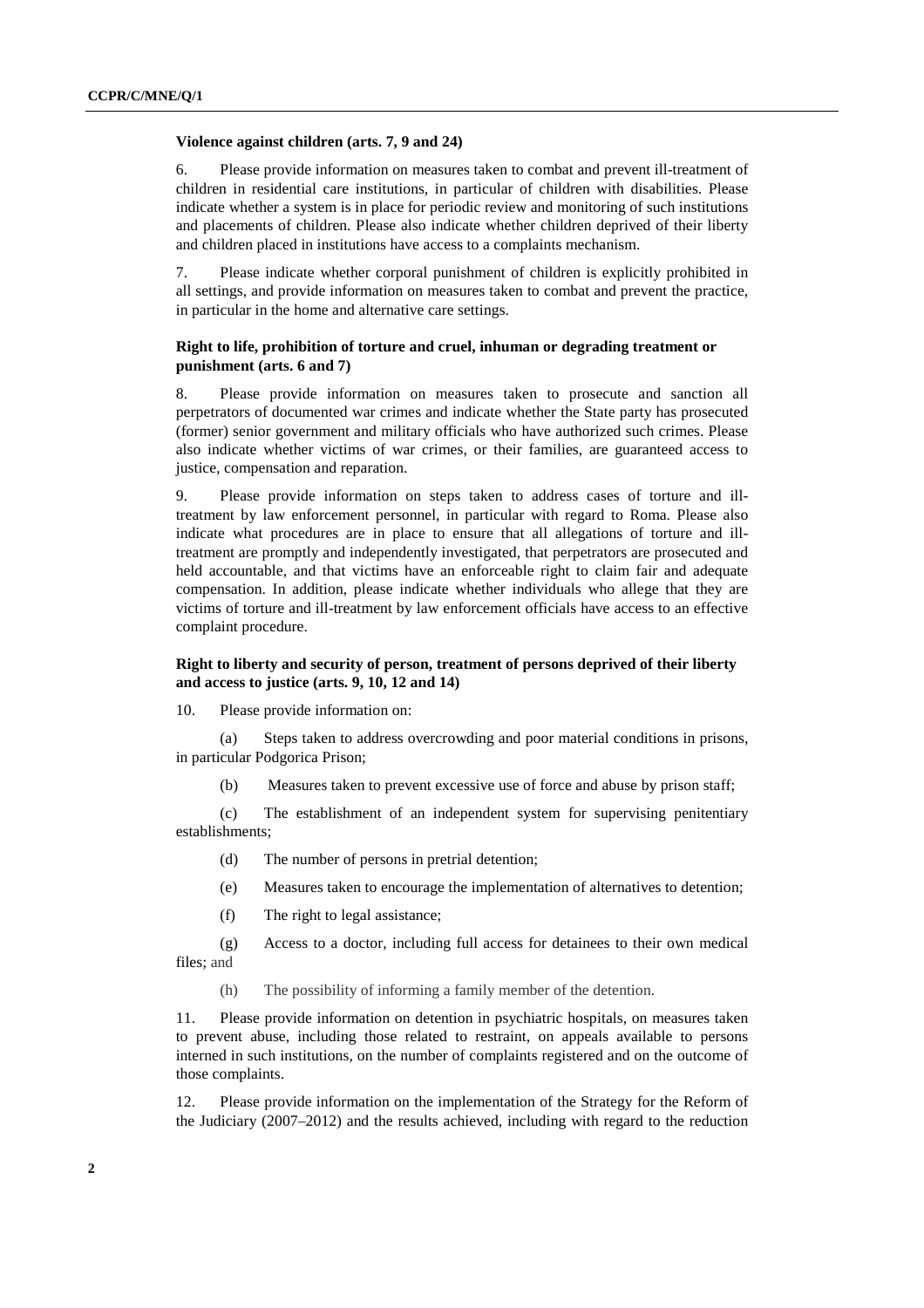#### **Violence against children (arts. 7, 9 and 24)**

6. Please provide information on measures taken to combat and prevent ill-treatment of children in residential care institutions, in particular of children with disabilities. Please indicate whether a system is in place for periodic review and monitoring of such institutions and placements of children. Please also indicate whether children deprived of their liberty and children placed in institutions have access to a complaints mechanism.

7. Please indicate whether corporal punishment of children is explicitly prohibited in all settings, and provide information on measures taken to combat and prevent the practice, in particular in the home and alternative care settings.

### **Right to life, prohibition of torture and cruel, inhuman or degrading treatment or punishment (arts. 6 and 7)**

8. Please provide information on measures taken to prosecute and sanction all perpetrators of documented war crimes and indicate whether the State party has prosecuted (former) senior government and military officials who have authorized such crimes. Please also indicate whether victims of war crimes, or their families, are guaranteed access to justice, compensation and reparation.

9. Please provide information on steps taken to address cases of torture and illtreatment by law enforcement personnel, in particular with regard to Roma. Please also indicate what procedures are in place to ensure that all allegations of torture and illtreatment are promptly and independently investigated, that perpetrators are prosecuted and held accountable, and that victims have an enforceable right to claim fair and adequate compensation. In addition, please indicate whether individuals who allege that they are victims of torture and ill-treatment by law enforcement officials have access to an effective complaint procedure.

### **Right to liberty and security of person, treatment of persons deprived of their liberty and access to justice (arts. 9, 10, 12 and 14)**

10. Please provide information on:

(a) Steps taken to address overcrowding and poor material conditions in prisons, in particular Podgorica Prison;

(b) Measures taken to prevent excessive use of force and abuse by prison staff;

(c) The establishment of an independent system for supervising penitentiary establishments;

(d) The number of persons in pretrial detention;

(e) Measures taken to encourage the implementation of alternatives to detention;

(f) The right to legal assistance;

(g) Access to a doctor, including full access for detainees to their own medical files; and

(h) The possibility of informing a family member of the detention.

11. Please provide information on detention in psychiatric hospitals, on measures taken to prevent abuse, including those related to restraint, on appeals available to persons interned in such institutions, on the number of complaints registered and on the outcome of those complaints.

12. Please provide information on the implementation of the Strategy for the Reform of the Judiciary (2007–2012) and the results achieved, including with regard to the reduction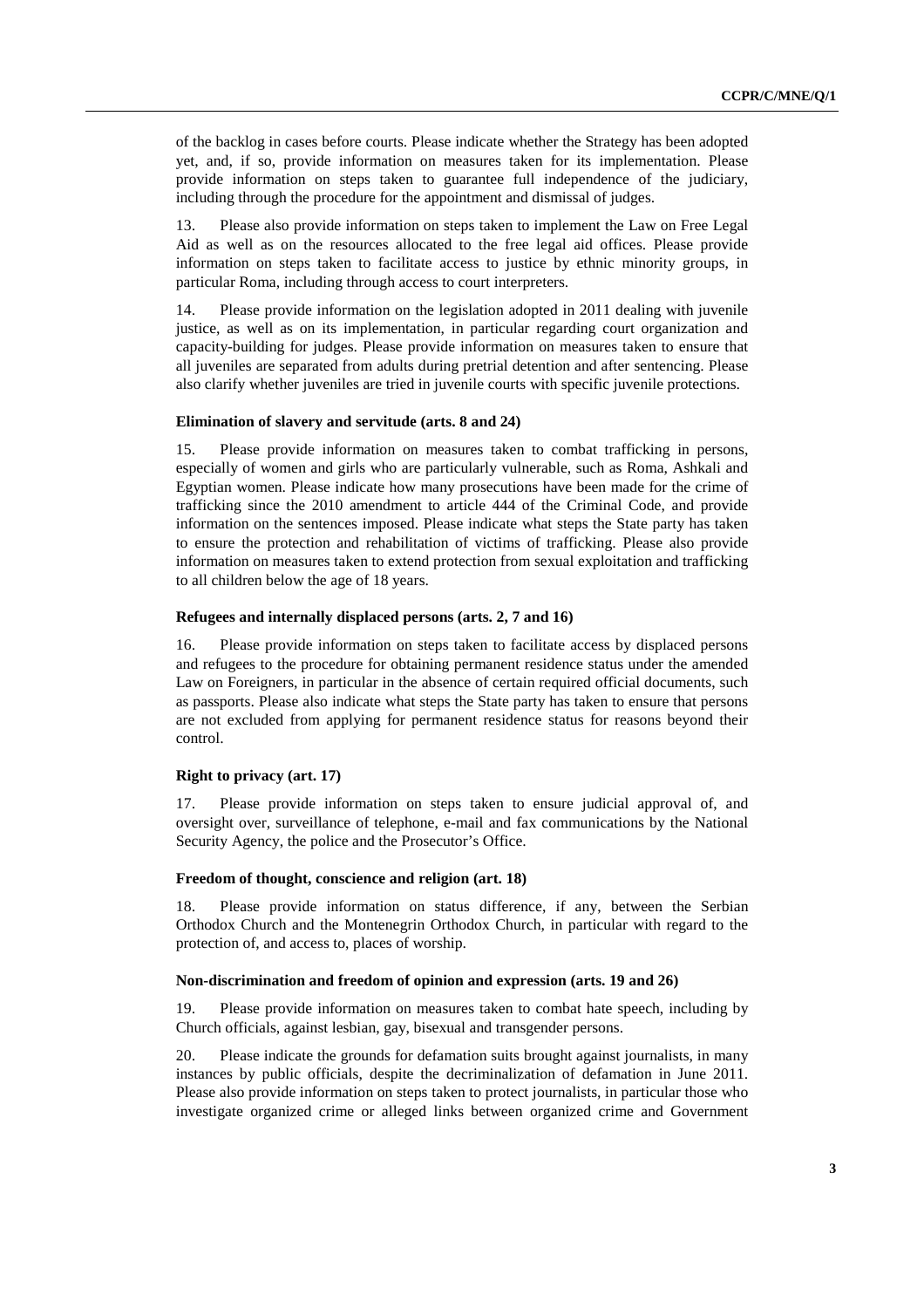of the backlog in cases before courts. Please indicate whether the Strategy has been adopted yet, and, if so, provide information on measures taken for its implementation. Please provide information on steps taken to guarantee full independence of the judiciary, including through the procedure for the appointment and dismissal of judges.

13. Please also provide information on steps taken to implement the Law on Free Legal Aid as well as on the resources allocated to the free legal aid offices. Please provide information on steps taken to facilitate access to justice by ethnic minority groups, in particular Roma, including through access to court interpreters.

14. Please provide information on the legislation adopted in 2011 dealing with juvenile justice, as well as on its implementation, in particular regarding court organization and capacity-building for judges. Please provide information on measures taken to ensure that all juveniles are separated from adults during pretrial detention and after sentencing. Please also clarify whether juveniles are tried in juvenile courts with specific juvenile protections.

#### **Elimination of slavery and servitude (arts. 8 and 24)**

15. Please provide information on measures taken to combat trafficking in persons, especially of women and girls who are particularly vulnerable, such as Roma, Ashkali and Egyptian women. Please indicate how many prosecutions have been made for the crime of trafficking since the 2010 amendment to article 444 of the Criminal Code, and provide information on the sentences imposed. Please indicate what steps the State party has taken to ensure the protection and rehabilitation of victims of trafficking. Please also provide information on measures taken to extend protection from sexual exploitation and trafficking to all children below the age of 18 years.

#### **Refugees and internally displaced persons (arts. 2, 7 and 16)**

16. Please provide information on steps taken to facilitate access by displaced persons and refugees to the procedure for obtaining permanent residence status under the amended Law on Foreigners, in particular in the absence of certain required official documents, such as passports. Please also indicate what steps the State party has taken to ensure that persons are not excluded from applying for permanent residence status for reasons beyond their control.

#### **Right to privacy (art. 17)**

17. Please provide information on steps taken to ensure judicial approval of, and oversight over, surveillance of telephone, e-mail and fax communications by the National Security Agency, the police and the Prosecutor's Office.

#### **Freedom of thought, conscience and religion (art. 18)**

18. Please provide information on status difference, if any, between the Serbian Orthodox Church and the Montenegrin Orthodox Church, in particular with regard to the protection of, and access to, places of worship.

#### **Non-discrimination and freedom of opinion and expression (arts. 19 and 26)**

19. Please provide information on measures taken to combat hate speech, including by Church officials, against lesbian, gay, bisexual and transgender persons.

20. Please indicate the grounds for defamation suits brought against journalists, in many instances by public officials, despite the decriminalization of defamation in June 2011. Please also provide information on steps taken to protect journalists, in particular those who investigate organized crime or alleged links between organized crime and Government